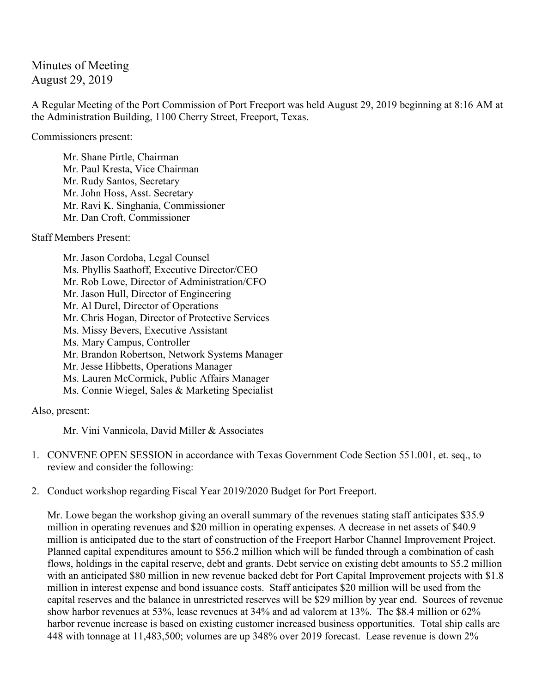Minutes of Meeting August 29, 2019

A Regular Meeting of the Port Commission of Port Freeport was held August 29, 2019 beginning at 8:16 AM at the Administration Building, 1100 Cherry Street, Freeport, Texas.

Commissioners present:

Mr. Shane Pirtle, Chairman Mr. Paul Kresta, Vice Chairman Mr. Rudy Santos, Secretary Mr. John Hoss, Asst. Secretary Mr. Ravi K. Singhania, Commissioner Mr. Dan Croft, Commissioner

Staff Members Present:

Mr. Jason Cordoba, Legal Counsel Ms. Phyllis Saathoff, Executive Director/CEO Mr. Rob Lowe, Director of Administration/CFO Mr. Jason Hull, Director of Engineering Mr. Al Durel, Director of Operations Mr. Chris Hogan, Director of Protective Services Ms. Missy Bevers, Executive Assistant Ms. Mary Campus, Controller Mr. Brandon Robertson, Network Systems Manager Mr. Jesse Hibbetts, Operations Manager Ms. Lauren McCormick, Public Affairs Manager Ms. Connie Wiegel, Sales & Marketing Specialist

Also, present:

Mr. Vini Vannicola, David Miller & Associates

- 1. CONVENE OPEN SESSION in accordance with Texas Government Code Section 551.001, et. seq., to review and consider the following:
- 2. Conduct workshop regarding Fiscal Year 2019/2020 Budget for Port Freeport.

Mr. Lowe began the workshop giving an overall summary of the revenues stating staff anticipates \$35.9 million in operating revenues and \$20 million in operating expenses. A decrease in net assets of \$40.9 million is anticipated due to the start of construction of the Freeport Harbor Channel Improvement Project. Planned capital expenditures amount to \$56.2 million which will be funded through a combination of cash flows, holdings in the capital reserve, debt and grants. Debt service on existing debt amounts to \$5.2 million with an anticipated \$80 million in new revenue backed debt for Port Capital Improvement projects with \$1.8 million in interest expense and bond issuance costs. Staff anticipates \$20 million will be used from the capital reserves and the balance in unrestricted reserves will be \$29 million by year end. Sources of revenue show harbor revenues at 53%, lease revenues at 34% and ad valorem at 13%. The \$8.4 million or 62% harbor revenue increase is based on existing customer increased business opportunities. Total ship calls are 448 with tonnage at 11,483,500; volumes are up 348% over 2019 forecast. Lease revenue is down 2%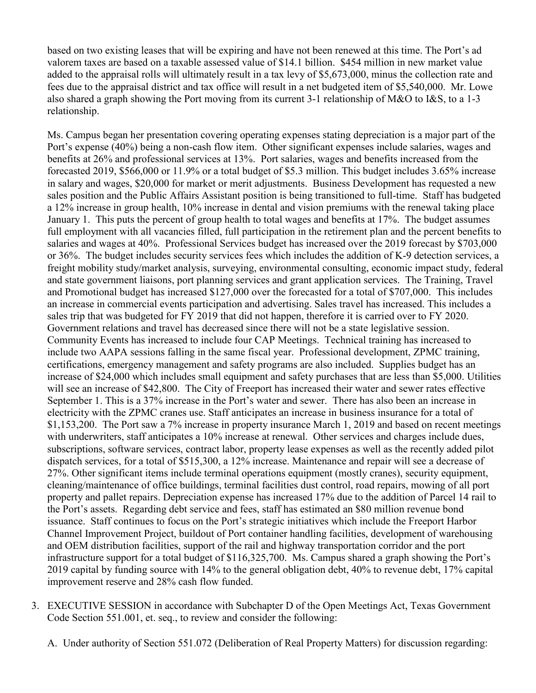based on two existing leases that will be expiring and have not been renewed at this time. The Port's ad valorem taxes are based on a taxable assessed value of \$14.1 billion. \$454 million in new market value added to the appraisal rolls will ultimately result in a tax levy of \$5,673,000, minus the collection rate and fees due to the appraisal district and tax office will result in a net budgeted item of \$5,540,000. Mr. Lowe also shared a graph showing the Port moving from its current 3-1 relationship of M&O to I&S, to a 1-3 relationship.

Ms. Campus began her presentation covering operating expenses stating depreciation is a major part of the Port's expense (40%) being a non-cash flow item. Other significant expenses include salaries, wages and benefits at 26% and professional services at 13%. Port salaries, wages and benefits increased from the forecasted 2019, \$566,000 or 11.9% or a total budget of \$5.3 million. This budget includes 3.65% increase in salary and wages, \$20,000 for market or merit adjustments. Business Development has requested a new sales position and the Public Affairs Assistant position is being transitioned to full-time. Staff has budgeted a 12% increase in group health, 10% increase in dental and vision premiums with the renewal taking place January 1. This puts the percent of group health to total wages and benefits at 17%. The budget assumes full employment with all vacancies filled, full participation in the retirement plan and the percent benefits to salaries and wages at 40%. Professional Services budget has increased over the 2019 forecast by \$703,000 or 36%. The budget includes security services fees which includes the addition of K-9 detection services, a freight mobility study/market analysis, surveying, environmental consulting, economic impact study, federal and state government liaisons, port planning services and grant application services. The Training, Travel and Promotional budget has increased \$127,000 over the forecasted for a total of \$707,000. This includes an increase in commercial events participation and advertising. Sales travel has increased. This includes a sales trip that was budgeted for FY 2019 that did not happen, therefore it is carried over to FY 2020. Government relations and travel has decreased since there will not be a state legislative session. Community Events has increased to include four CAP Meetings. Technical training has increased to include two AAPA sessions falling in the same fiscal year. Professional development, ZPMC training, certifications, emergency management and safety programs are also included. Supplies budget has an increase of \$24,000 which includes small equipment and safety purchases that are less than \$5,000. Utilities will see an increase of \$42,800. The City of Freeport has increased their water and sewer rates effective September 1. This is a 37% increase in the Port's water and sewer. There has also been an increase in electricity with the ZPMC cranes use. Staff anticipates an increase in business insurance for a total of \$1,153,200. The Port saw a 7% increase in property insurance March 1, 2019 and based on recent meetings with underwriters, staff anticipates a 10% increase at renewal. Other services and charges include dues, subscriptions, software services, contract labor, property lease expenses as well as the recently added pilot dispatch services, for a total of \$515,300, a 12% increase. Maintenance and repair will see a decrease of 27%. Other significant items include terminal operations equipment (mostly cranes), security equipment, cleaning/maintenance of office buildings, terminal facilities dust control, road repairs, mowing of all port property and pallet repairs. Depreciation expense has increased 17% due to the addition of Parcel 14 rail to the Port's assets. Regarding debt service and fees, staff has estimated an \$80 million revenue bond issuance. Staff continues to focus on the Port's strategic initiatives which include the Freeport Harbor Channel Improvement Project, buildout of Port container handling facilities, development of warehousing and OEM distribution facilities, support of the rail and highway transportation corridor and the port infrastructure support for a total budget of \$116,325,700. Ms. Campus shared a graph showing the Port's 2019 capital by funding source with 14% to the general obligation debt, 40% to revenue debt, 17% capital improvement reserve and 28% cash flow funded.

- 3. EXECUTIVE SESSION in accordance with Subchapter D of the Open Meetings Act, Texas Government Code Section 551.001, et. seq., to review and consider the following:
	- A. Under authority of Section 551.072 (Deliberation of Real Property Matters) for discussion regarding: